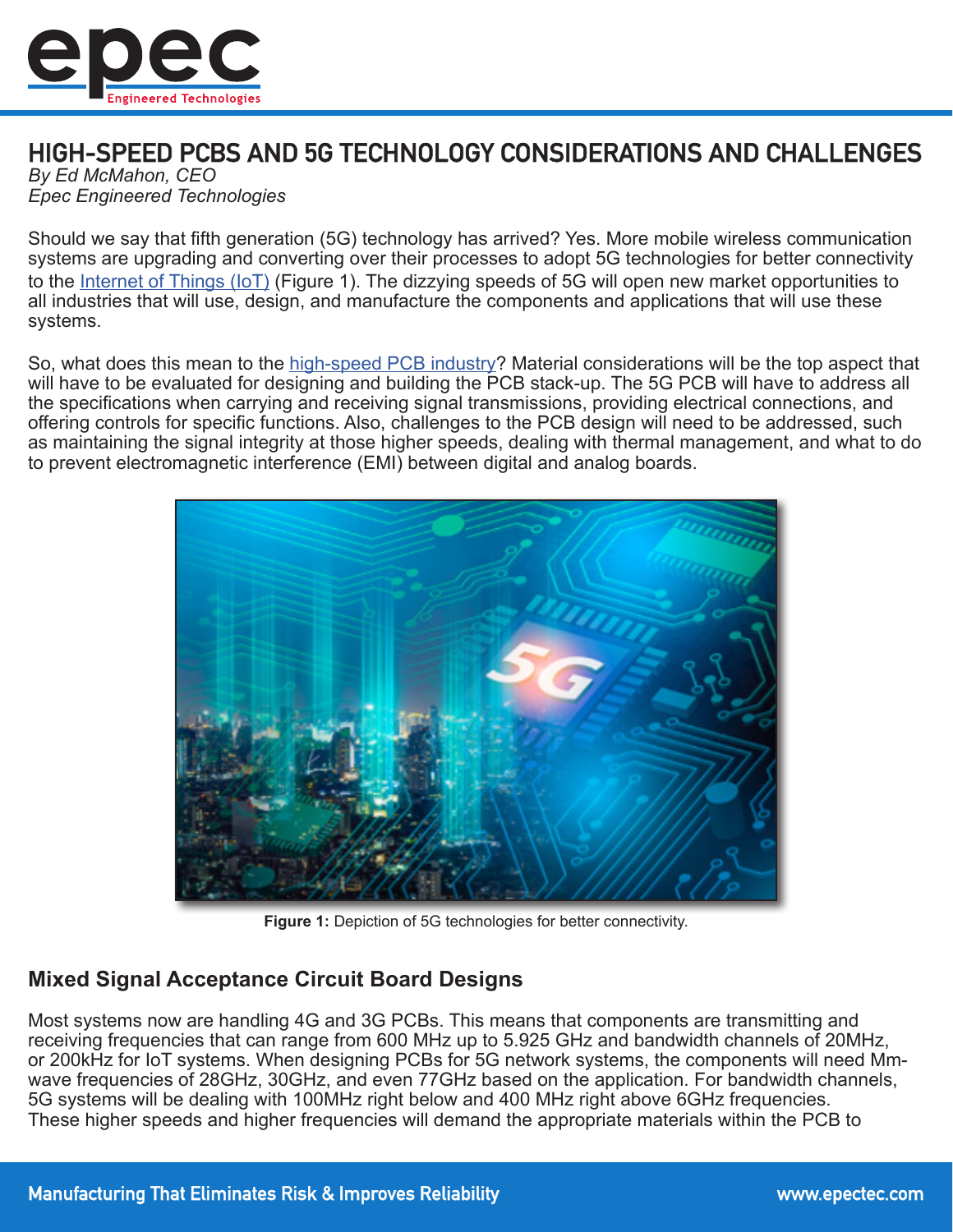

# HIGH-SPEED PCBS AND 5G TECHNOLOGY CONSIDERATIONS AND CHALLENGES

*By Ed McMahon, CEO Epec Engineered Technologies*

Should we say that fifth generation (5G) technology has arrived? Yes. More mobile wireless communication systems are upgrading and converting over their processes to adopt 5G technologies for better connectivity to the [Internet of Things \(IoT\)](https://www.epectec.com/articles/the-internet-of-things-why-now.html) (Figure 1). The dizzying speeds of 5G will open new market opportunities to all industries that will use, design, and manufacture the components and applications that will use these systems.

So, what does this mean to the [high-speed PCB industry?](https://blog.epectec.com/choosing-high-speed-pcb-materials-that-are-readily-available) Material considerations will be the top aspect that will have to be evaluated for designing and building the PCB stack-up. The 5G PCB will have to address all the specifications when carrying and receiving signal transmissions, providing electrical connections, and offering controls for specific functions. Also, challenges to the PCB design will need to be addressed, such as maintaining the signal integrity at those higher speeds, dealing with thermal management, and what to do to prevent electromagnetic interference (EMI) between digital and analog boards.



**Figure 1:** Depiction of 5G technologies for better connectivity.

# **Mixed Signal Acceptance Circuit Board Designs**

Most systems now are handling 4G and 3G PCBs. This means that components are transmitting and receiving frequencies that can range from 600 MHz up to 5.925 GHz and bandwidth channels of 20MHz, or 200kHz for IoT systems. When designing PCBs for 5G network systems, the components will need Mmwave frequencies of 28GHz, 30GHz, and even 77GHz based on the application. For bandwidth channels, 5G systems will be dealing with 100MHz right below and 400 MHz right above 6GHz frequencies. These higher speeds and higher frequencies will demand the appropriate materials within the PCB to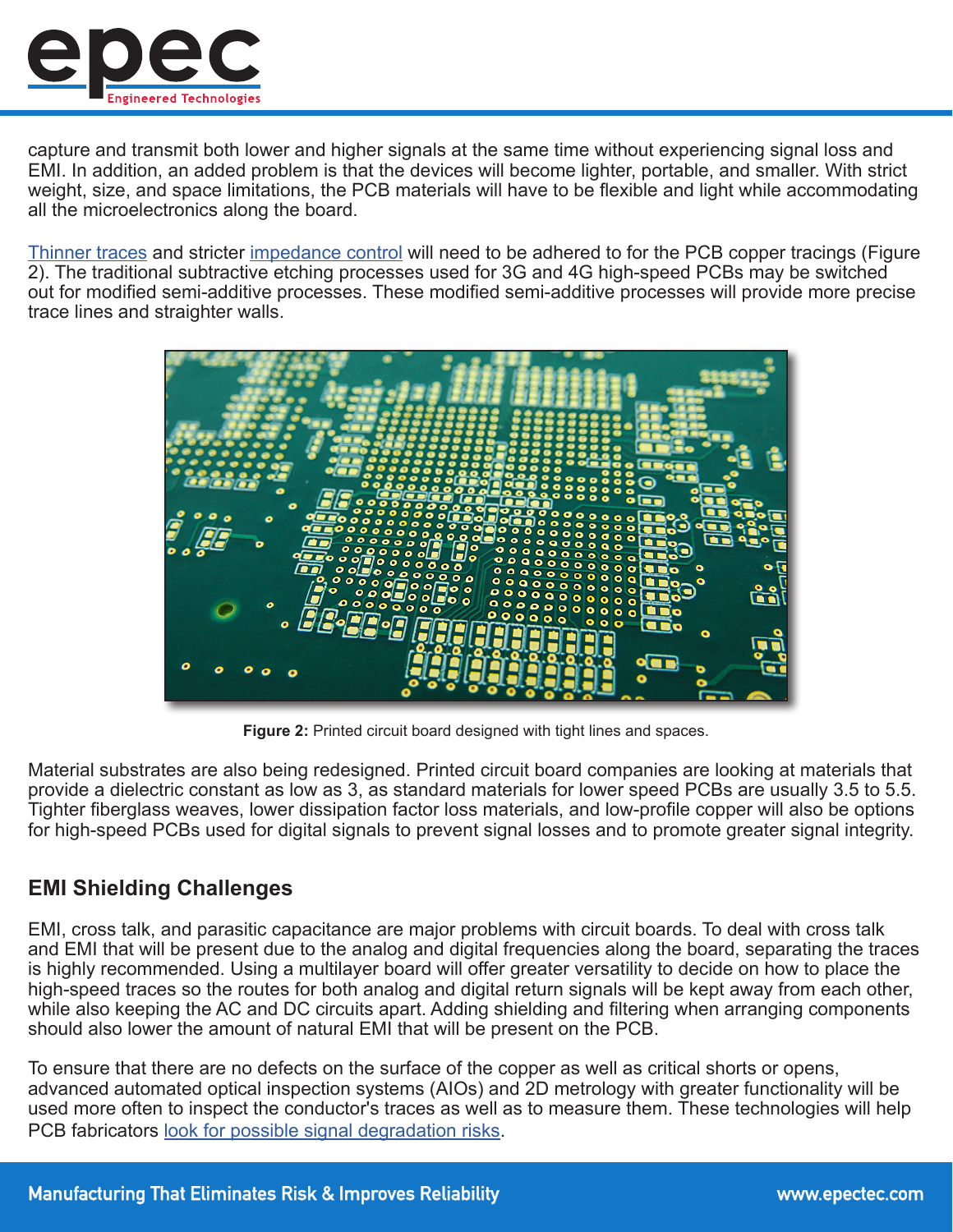

capture and transmit both lower and higher signals at the same time without experiencing signal loss and EMI. In addition, an added problem is that the devices will become lighter, portable, and smaller. With strict weight, size, and space limitations, the PCB materials will have to be flexible and light while accommodating all the microelectronics along the board.

[Thinner traces](https://www.epectec.com/pcb/fine-lines-and-spaces.html) and stricter [impedance control](https://www.epectec.com/pcb/controlled-impedance.html) will need to be adhered to for the PCB copper tracings (Figure 2). The traditional subtractive etching processes used for 3G and 4G high-speed PCBs may be switched out for modified semi-additive processes. These modified semi-additive processes will provide more precise trace lines and straighter walls.



**Figure 2:** Printed circuit board designed with tight lines and spaces.

Material substrates are also being redesigned. Printed circuit board companies are looking at materials that provide a dielectric constant as low as 3, as standard materials for lower speed PCBs are usually 3.5 to 5.5. Tighter fiberglass weaves, lower dissipation factor loss materials, and low-profile copper will also be options for high-speed PCBs used for digital signals to prevent signal losses and to promote greater signal integrity.

#### **EMI Shielding Challenges**

EMI, cross talk, and parasitic capacitance are major problems with circuit boards. To deal with cross talk and EMI that will be present due to the analog and digital frequencies along the board, separating the traces is highly recommended. Using a multilayer board will offer greater versatility to decide on how to place the high-speed traces so the routes for both analog and digital return signals will be kept away from each other, while also keeping the AC and DC circuits apart. Adding shielding and filtering when arranging components should also lower the amount of natural EMI that will be present on the PCB.

To ensure that there are no defects on the surface of the copper as well as critical shorts or opens, advanced automated optical inspection systems (AIOs) and 2D metrology with greater functionality will be used more often to inspect the conductor's traces as well as to measure them. These technologies will help PCB fabricators [look for possible signal degradation risks](https://blog.epectec.com/how-electrical-testing-confirms-printed-circuit-board-integrity).